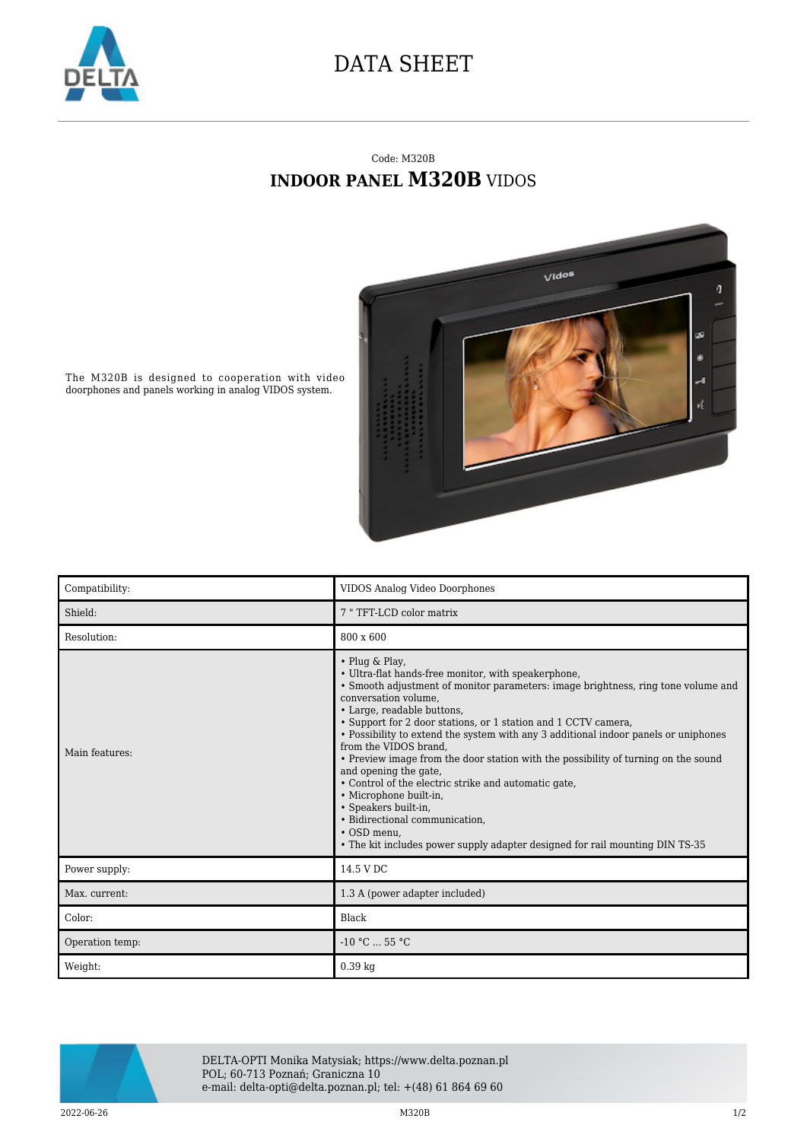

## DATA SHEET

## Code: M320B **INDOOR PANEL M320B** VIDOS



The M320B is designed to cooperation with video doorphones and panels working in analog VIDOS system.

| Compatibility:  | VIDOS Analog Video Doorphones                                                                                                                                                                                                                                                                                                                                                                                                                                                                                                                                                                                                                                                                                                                                |
|-----------------|--------------------------------------------------------------------------------------------------------------------------------------------------------------------------------------------------------------------------------------------------------------------------------------------------------------------------------------------------------------------------------------------------------------------------------------------------------------------------------------------------------------------------------------------------------------------------------------------------------------------------------------------------------------------------------------------------------------------------------------------------------------|
| Shield:         | 7 "TFT-LCD color matrix                                                                                                                                                                                                                                                                                                                                                                                                                                                                                                                                                                                                                                                                                                                                      |
| Resolution:     | 800 x 600                                                                                                                                                                                                                                                                                                                                                                                                                                                                                                                                                                                                                                                                                                                                                    |
| Main features:  | • Plug & Play,<br>• Ultra-flat hands-free monitor, with speakerphone,<br>• Smooth adjustment of monitor parameters: image brightness, ring tone volume and<br>conversation volume,<br>• Large, readable buttons,<br>• Support for 2 door stations, or 1 station and 1 CCTV camera,<br>• Possibility to extend the system with any 3 additional indoor panels or uniphones<br>from the VIDOS brand.<br>• Preview image from the door station with the possibility of turning on the sound<br>and opening the gate,<br>• Control of the electric strike and automatic gate,<br>• Microphone built-in,<br>• Speakers built-in,<br>• Bidirectional communication,<br>• OSD menu.<br>• The kit includes power supply adapter designed for rail mounting DIN TS-35 |
| Power supply:   | 14.5 V DC                                                                                                                                                                                                                                                                                                                                                                                                                                                                                                                                                                                                                                                                                                                                                    |
| Max. current:   | 1.3 A (power adapter included)                                                                                                                                                                                                                                                                                                                                                                                                                                                                                                                                                                                                                                                                                                                               |
| Color:          | Black                                                                                                                                                                                                                                                                                                                                                                                                                                                                                                                                                                                                                                                                                                                                                        |
| Operation temp: | $-10 °C$ 55 °C                                                                                                                                                                                                                                                                                                                                                                                                                                                                                                                                                                                                                                                                                                                                               |
| Weight:         | 0.39 kg                                                                                                                                                                                                                                                                                                                                                                                                                                                                                                                                                                                                                                                                                                                                                      |



DELTA-OPTI Monika Matysiak; https://www.delta.poznan.pl POL; 60-713 Poznań; Graniczna 10 e-mail: delta-opti@delta.poznan.pl; tel: +(48) 61 864 69 60